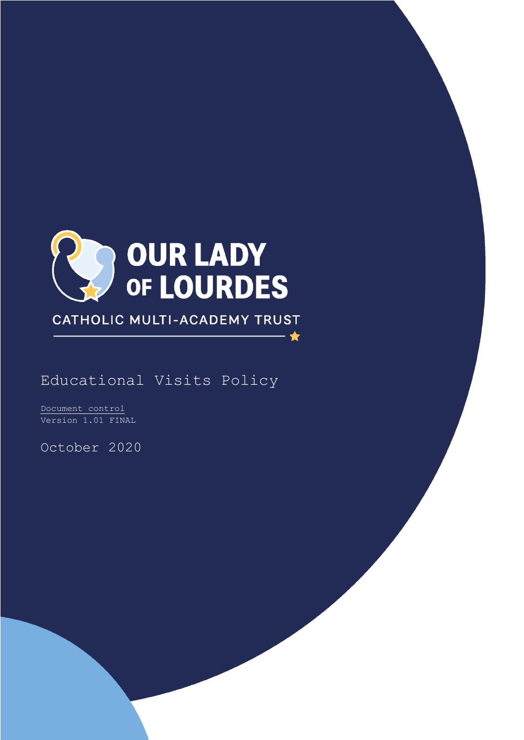

CATHOLIC MULTI-ACADEMY TRUST

★

Educational Visits Policy

Document control Version 1.01 FINAL

October 2020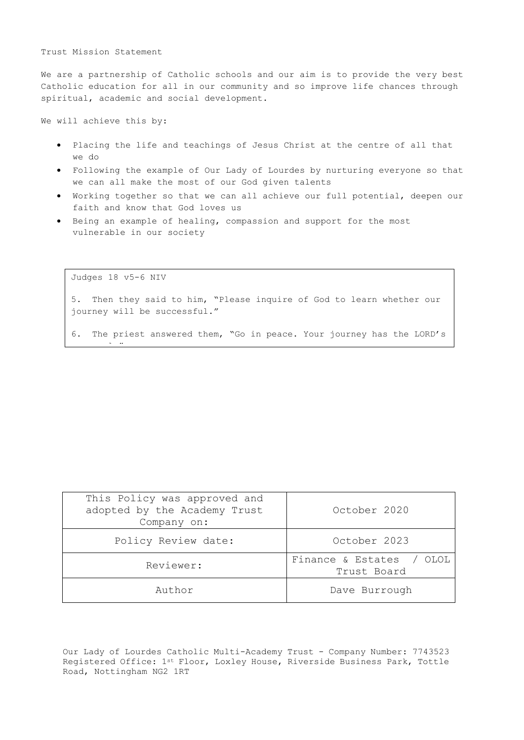Trust Mission Statement

We are a partnership of Catholic schools and our aim is to provide the very best Catholic education for all in our community and so improve life chances through spiritual, academic and social development.

We will achieve this by:

- Placing the life and teachings of Jesus Christ at the centre of all that we do
- Following the example of Our Lady of Lourdes by nurturing everyone so that we can all make the most of our God given talents
- Working together so that we can all achieve our full potential, deepen our faith and know that God loves us
- Being an example of healing, compassion and support for the most vulnerable in our society

Judges 18 v5-6 NIV

<u>approval. And the second second second second second second second second second second second second second se</u><br>And the second second second second second second second second second second second second second second se

5. Then they said to him, "Please inquire of God to learn whether our journey will be successful."

6. The priest answered them, "Go in peace. Your journey has the LORD's

| Author                                                                      | Dave Burrough                             |
|-----------------------------------------------------------------------------|-------------------------------------------|
| Reviewer:                                                                   | Finance & Estates<br>OLOL.<br>Trust Board |
| Policy Review date:                                                         | October 2023                              |
| This Policy was approved and<br>adopted by the Academy Trust<br>Company on: | October 2020                              |

Our Lady of Lourdes Catholic Multi-Academy Trust - Company Number: 7743523 Registered Office: 1st Floor, Loxley House, Riverside Business Park, Tottle Road, Nottingham NG2 1RT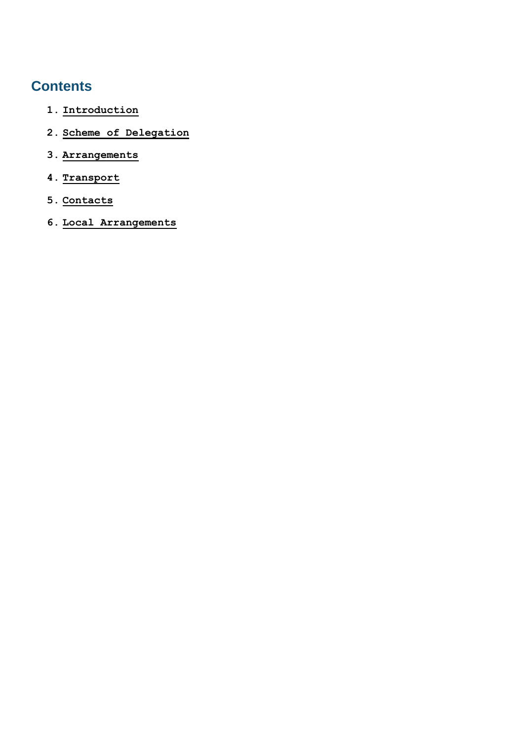# **Contents**

- <span id="page-2-0"></span>**1. [Introduction](#page-2-0)**
- <span id="page-2-1"></span>**2. [Scheme of Delegation](#page-2-1)**
- <span id="page-2-2"></span>**3. [Arrangements](#page-2-2)**
- <span id="page-2-3"></span>**4. [Transport](#page-2-3)**
- <span id="page-2-4"></span>**5. [Contacts](#page-2-4)**
- <span id="page-2-5"></span>**6. [Local Arrangements](#page-2-5)**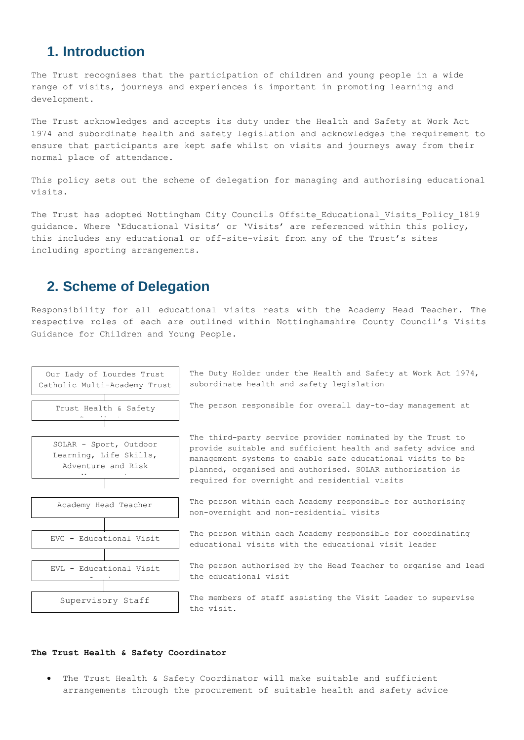## **1. Introduction**

The Trust recognises that the participation of children and young people in a wide range of visits, journeys and experiences is important in promoting learning and development.

The Trust acknowledges and accepts its duty under the Health and Safety at Work Act 1974 and subordinate health and safety legislation and acknowledges the requirement to ensure that participants are kept safe whilst on visits and journeys away from their normal place of attendance.

This policy sets out the scheme of delegation for managing and authorising educational visits.

The Trust has adopted Nottingham City Councils Offsite Educational Visits Policy 1819 guidance. Where 'Educational Visits' or 'Visits' are referenced within this policy, this includes any educational or off-site-visit from any of the Trust's sites including sporting arrangements.

## **2. Scheme of Delegation**

Responsibility for all educational visits rests with the Academy Head Teacher. The respective roles of each are outlined within Nottinghamshire County Council's Visits Guidance for Children and Young People.



The Duty Holder under the Health and Safety at Work Act 1974, subordinate health and safety legislation

The person responsible for overall day-to-day management at

The third-party service provider nominated by the Trust to provide suitable and sufficient health and safety advice and management systems to enable safe educational visits to be planned, organised and authorised. SOLAR authorisation is required for overnight and residential visits

The person within each Academy responsible for authorising non-overnight and non-residential visits

The person within each Academy responsible for coordinating educational visits with the educational visit leader

The person authorised by the Head Teacher to organise and lead the educational visit

The members of staff assisting the Visit Leader to supervise the visit.

## **The Trust Health & Safety Coordinator**

 The Trust Health & Safety Coordinator will make suitable and sufficient arrangements through the procurement of suitable health and safety advice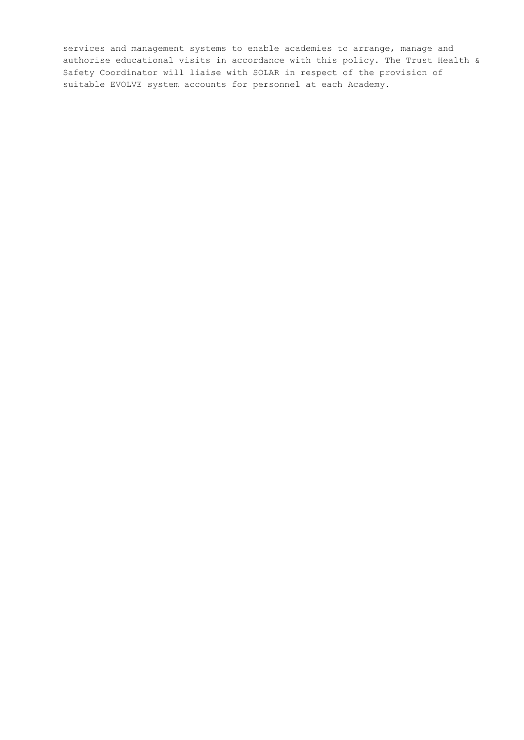services and management systems to enable academies to arrange, manage and authorise educational visits in accordance with this policy. The Trust Health & Safety Coordinator will liaise with SOLAR in respect of the provision of suitable EVOLVE system accounts for personnel at each Academy.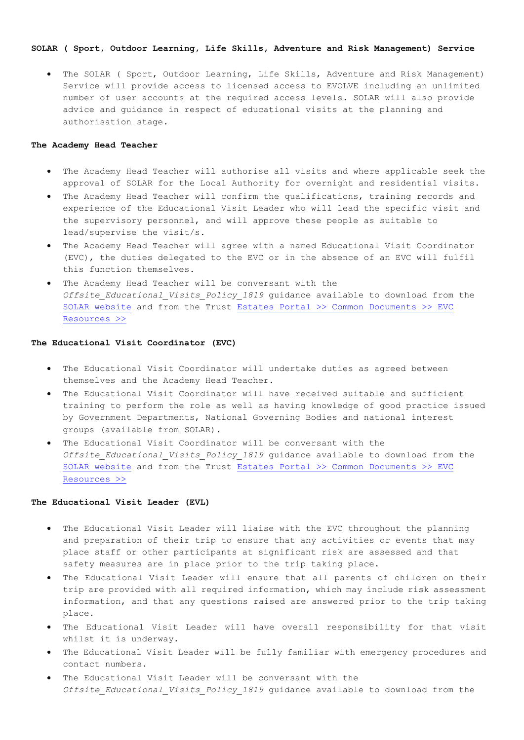## **SOLAR ( Sport, Outdoor Learning, Life Skills, Adventure and Risk Management) Service**

 The SOLAR ( Sport, Outdoor Learning, Life Skills, Adventure and Risk Management) Service will provide access to licensed access to EVOLVE including an unlimited number of user accounts at the required access levels. SOLAR will also provide advice and guidance in respect of educational visits at the planning and authorisation stage.

## **The Academy Head Teacher**

- The Academy Head Teacher will authorise all visits and where applicable seek the approval of SOLAR for the Local Authority for overnight and residential visits.
- The Academy Head Teacher will confirm the qualifications, training records and experience of the Educational Visit Leader who will lead the specific visit and the supervisory personnel, and will approve these people as suitable to lead/supervise the visit/s.
- The Academy Head Teacher will agree with a named Educational Visit Coordinator (EVC), the duties delegated to the EVC or in the absence of an EVC will fulfil this function themselves.
- The Academy Head Teacher will be conversant with the *Offsite\_Educational\_Visits\_Policy\_1819* guidance available to download from the [SOLAR website](https://evolve.edufocus.co.uk/evco10/evchome_public.asp?domain=nottinghamcityvisits.org.uk) and from the Trust Estates Portal >> Common Documents >> EVC [Resources >>](https://ololcmat.sharepoint.com/sites/EstatesPortal)

#### **The Educational Visit Coordinator (EVC)**

- The Educational Visit Coordinator will undertake duties as agreed between themselves and the Academy Head Teacher.
- The Educational Visit Coordinator will have received suitable and sufficient training to perform the role as well as having knowledge of good practice issued by Government Departments, National Governing Bodies and national interest groups (available from SOLAR).
- The Educational Visit Coordinator will be conversant with the *Offsite\_Educational\_Visits\_Policy\_1819* guidance available to download from the [SOLAR website](https://evolve.edufocus.co.uk/evco10/evchome_public.asp?domain=nottinghamcityvisits.org.uk) and from the Trust Estates Portal >> Common Documents >> EVC [Resources >>](https://ololcmat.sharepoint.com/sites/EstatesPortal)

#### **The Educational Visit Leader (EVL)**

- The Educational Visit Leader will liaise with the EVC throughout the planning and preparation of their trip to ensure that any activities or events that may place staff or other participants at significant risk are assessed and that safety measures are in place prior to the trip taking place.
- The Educational Visit Leader will ensure that all parents of children on their trip are provided with all required information, which may include risk assessment information, and that any questions raised are answered prior to the trip taking place.
- The Educational Visit Leader will have overall responsibility for that visit whilst it is underway.
- The Educational Visit Leader will be fully familiar with emergency procedures and contact numbers.
- The Educational Visit Leader will be conversant with the *Offsite\_Educational\_Visits\_Policy\_1819* guidance available to download from the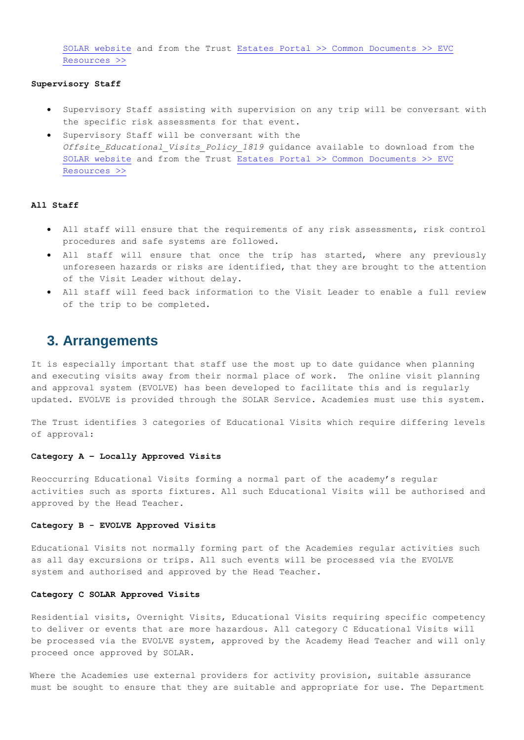[SOLAR website](https://evolve.edufocus.co.uk/evco10/evchome_public.asp?domain=nottinghamcityvisits.org.uk) and from the Trust [Estates Portal >> Common Documents >>](https://ololcmat.sharepoint.com/sites/EstatesPortal) EVC [Resources >>](https://ololcmat.sharepoint.com/sites/EstatesPortal)

## **Supervisory Staff**

- Supervisory Staff assisting with supervision on any trip will be conversant with the specific risk assessments for that event.
- Supervisory Staff will be conversant with the *Offsite\_Educational\_Visits\_Policy\_1819* guidance available to download from the [SOLAR website](https://evolve.edufocus.co.uk/evco10/evchome_public.asp?domain=nottinghamcityvisits.org.uk) and from the Trust Estates Portal >> Common Documents >> EVC [Resources >>](https://ololcmat.sharepoint.com/sites/EstatesPortal)

## **All Staff**

- All staff will ensure that the requirements of any risk assessments, risk control procedures and safe systems are followed.
- All staff will ensure that once the trip has started, where any previously unforeseen hazards or risks are identified, that they are brought to the attention of the Visit Leader without delay.
- All staff will feed back information to the Visit Leader to enable a full review of the trip to be completed.

## **3. Arrangements**

It is especially important that staff use the most up to date guidance when planning and executing visits away from their normal place of work. The online visit planning and approval system (EVOLVE) has been developed to facilitate this and is regularly updated. EVOLVE is provided through the SOLAR Service. Academies must use this system.

The Trust identifies 3 categories of Educational Visits which require differing levels of approval:

## **Category A – Locally Approved Visits**

Reoccurring Educational Visits forming a normal part of the academy's regular activities such as sports fixtures. All such Educational Visits will be authorised and approved by the Head Teacher.

### **Category B - EVOLVE Approved Visits**

Educational Visits not normally forming part of the Academies regular activities such as all day excursions or trips. All such events will be processed via the EVOLVE system and authorised and approved by the Head Teacher.

### **Category C SOLAR Approved Visits**

Residential visits, Overnight Visits, Educational Visits requiring specific competency to deliver or events that are more hazardous. All category C Educational Visits will be processed via the EVOLVE system, approved by the Academy Head Teacher and will only proceed once approved by SOLAR.

Where the Academies use external providers for activity provision, suitable assurance must be sought to ensure that they are suitable and appropriate for use. The Department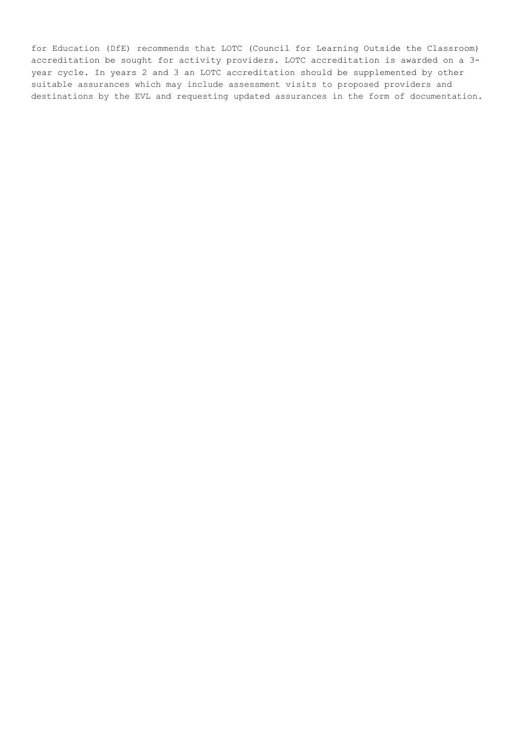for Education (DfE) recommends that LOTC (Council for Learning Outside the Classroom) accreditation be sought for activity providers. LOTC accreditation is awarded on a 3 year cycle. In years 2 and 3 an LOTC accreditation should be supplemented by other suitable assurances which may include assessment visits to proposed providers and destinations by the EVL and requesting updated assurances in the form of documentation.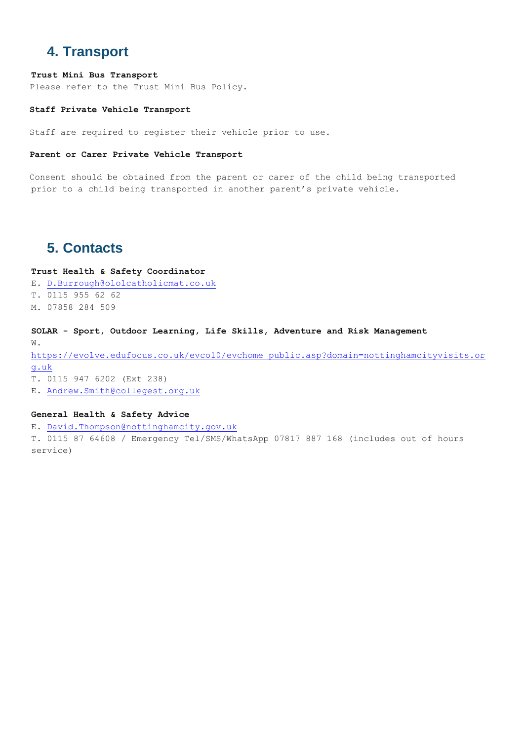## **4. Transport**

## **Trust Mini Bus Transport**

Please refer to the Trust Mini Bus Policy.

### **Staff Private Vehicle Transport**

Staff are required to register their vehicle prior to use.

## **Parent or Carer Private Vehicle Transport**

Consent should be obtained from the parent or carer of the child being transported prior to a child being transported in another parent's private vehicle.

## **5. Contacts**

**Trust Health & Safety Coordinator** E. [D.Burrough@ololcatholicmat.co.uk](mailto:D.Burrough@ololcatholicmat.co.uk) T. 0115 955 62 62 M. 07858 284 509

**SOLAR - Sport, Outdoor Learning, Life Skills, Adventure and Risk Management** W. [https://evolve.edufocus.co.uk/evco10/evchome\\_public.asp?domain=nottinghamcityvisits.or](https://evolve.edufocus.co.uk/evco10/evchome_public.asp?domain=nottinghamcityvisits.org.uk) [g.uk](https://evolve.edufocus.co.uk/evco10/evchome_public.asp?domain=nottinghamcityvisits.org.uk) T. 0115 947 6202 (Ext 238) E. [Andrew.Smith@collegest.org.uk](mailto:Andrew.Smith@collegest.org.uk)

### **General Health & Safety Advice**

E. [David.Thompson@nottinghamcity.gov.uk](mailto:David.Thompson@nottinghamcity.gov.uk) T. 0115 87 64608 / Emergency Tel/SMS/WhatsApp 07817 887 168 (includes out of hours service)